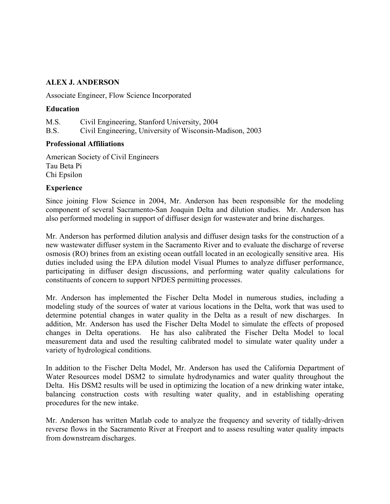# ALEX J. ANDERSON

Associate Engineer, Flow Science Incorporated

## **Education**

M.S. Civil Engineering, Stanford University, 2004 B.S. Civil Engineering, University of Wisconsin-Madison, 2003

## Professional Affiliations

American Society of Civil Engineers Tau Beta Pi Chi Epsilon

## Experience

Since joining Flow Science in 2004, Mr. Anderson has been responsible for the modeling component of several Sacramento-San Joaquin Delta and dilution studies. Mr. Anderson has also performed modeling in support of diffuser design for wastewater and brine discharges.

Mr. Anderson has performed dilution analysis and diffuser design tasks for the construction of a new wastewater diffuser system in the Sacramento River and to evaluate the discharge of reverse osmosis (RO) brines from an existing ocean outfall located in an ecologically sensitive area. His duties included using the EPA dilution model Visual Plumes to analyze diffuser performance, participating in diffuser design discussions, and performing water quality calculations for constituents of concern to support NPDES permitting processes.

Mr. Anderson has implemented the Fischer Delta Model in numerous studies, including a modeling study of the sources of water at various locations in the Delta, work that was used to determine potential changes in water quality in the Delta as a result of new discharges. In addition, Mr. Anderson has used the Fischer Delta Model to simulate the effects of proposed changes in Delta operations. He has also calibrated the Fischer Delta Model to local measurement data and used the resulting calibrated model to simulate water quality under a variety of hydrological conditions.

In addition to the Fischer Delta Model, Mr. Anderson has used the California Department of Water Resources model DSM2 to simulate hydrodynamics and water quality throughout the Delta. His DSM2 results will be used in optimizing the location of a new drinking water intake, balancing construction costs with resulting water quality, and in establishing operating procedures for the new intake.

Mr. Anderson has written Matlab code to analyze the frequency and severity of tidally-driven reverse flows in the Sacramento River at Freeport and to assess resulting water quality impacts from downstream discharges.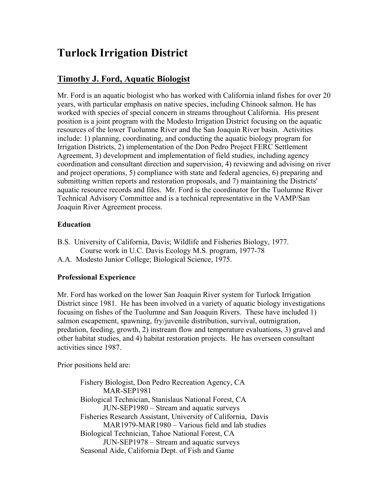# Turlock Irrigation District

# Timothy J. Ford, Aquatic Biologist

Mr. Ford is an aquatic biologist who has worked with California inland fishes for over 20 years, with particular emphasis on native species, including Chinook salmon. He has worked with species of special concern in streams throughout California. His present position is a joint program with the Modesto Irrigation District focusing on the aquatic resources of the lower Tuolumne River and the San Joaquin River basin. Activities include: 1) planning, coordinating, and conducting the aquatic biology program for Irrigation Districts, 2) implementation of the Don Pedro Project FERC Settlement Agreement, 3) development and implementation of field studies, including agency coordination and consultant direction and supervision, 4) reviewing and advising on river and project operations, 5) compliance with state and federal agencies, 6) preparing and submitting written reports and restoration proposals, and 7) maintaining the Districts' aquatic resource records and files. Mr. Ford is the coordinator for the Tuolumne River Technical Advisory Committee and is a technical representative in the VAMP/San Joaquin River Agreement process.

# **Education**

B.S. University of California, Davis; Wildlife and Fisheries Biology, 1977. Course work in U.C. Davis Ecology M.S. program, 1977-78 A.A. Modesto Junior College; Biological Science, 1975.

# Professional Experience

Mr. Ford has worked on the lower San Joaquin River system for Turlock Irrigation District since 1981. He has been involved in a variety of aquatic biology investigations focusing on fishes of the Tuolumne and San Joaquin Rivers. These have included 1) salmon escapement, spawning, fry/juvenile distribution, survival, outmigration, predation, feeding, growth, 2) instream flow and temperature evaluations, 3) gravel and other habitat studies, and 4) habitat restoration projects. He has overseen consultant activities since 1987.

Prior positions held are:

Fishery Biologist, Don Pedro Recreation Agency, CA MAR-SEP1981 Biological Technician, Stanislaus National Forest, CA JUN-SEP1980 – Stream and aquatic surveys Fisheries Research Assistant, University of California, Davis MAR1979-MAR1980 – Various field and lab studies Biological Technician, Tahoe National Forest, CA JUN-SEP1978 – Stream and aquatic surveys Seasonal Aide, California Dept. of Fish and Game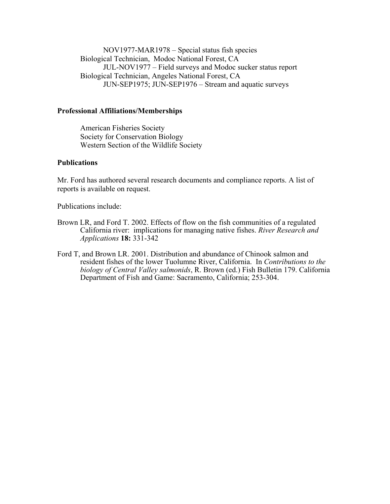NOV1977-MAR1978 – Special status fish species Biological Technician, Modoc National Forest, CA JUL-NOV1977 – Field surveys and Modoc sucker status report Biological Technician, Angeles National Forest, CA JUN-SEP1975; JUN-SEP1976 – Stream and aquatic surveys

### Professional Affiliations/Memberships

American Fisheries Society Society for Conservation Biology Western Section of the Wildlife Society

### **Publications**

Mr. Ford has authored several research documents and compliance reports. A list of reports is available on request.

Publications include:

- Brown LR, and Ford T. 2002. Effects of flow on the fish communities of a regulated California river: implications for managing native fishes. River Research and Applications 18: 331-342
- Ford T, and Brown LR. 2001. Distribution and abundance of Chinook salmon and resident fishes of the lower Tuolumne River, California. In Contributions to the biology of Central Valley salmonids, R. Brown (ed.) Fish Bulletin 179. California Department of Fish and Game: Sacramento, California; 253-304.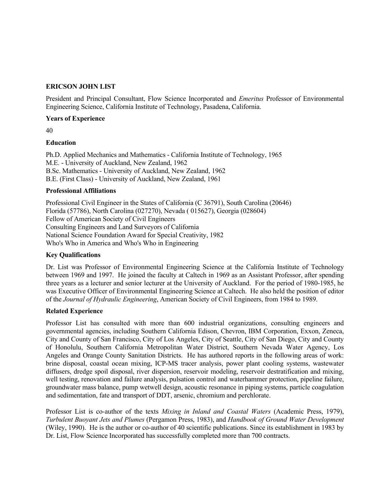### ERICSON JOHN LIST

President and Principal Consultant, Flow Science Incorporated and Emeritus Professor of Environmental Engineering Science, California Institute of Technology, Pasadena, California.

### Years of Experience

40

### Education

Ph.D. Applied Mechanics and Mathematics - California Institute of Technology, 1965 M.E. - University of Auckland, New Zealand, 1962 B.Sc. Mathematics - University of Auckland, New Zealand, 1962 B.E. (First Class) - University of Auckland, New Zealand, 1961

### Professional Affiliations

Professional Civil Engineer in the States of California (C 36791), South Carolina (20646) Florida (57786), North Carolina (027270), Nevada ( 015627), Georgia (028604) Fellow of American Society of Civil Engineers Consulting Engineers and Land Surveyors of California National Science Foundation Award for Special Creativity, 1982 Who's Who in America and Who's Who in Engineering

### Key Qualifications

Dr. List was Professor of Environmental Engineering Science at the California Institute of Technology between 1969 and 1997. He joined the faculty at Caltech in 1969 as an Assistant Professor, after spending three years as a lecturer and senior lecturer at the University of Auckland. For the period of 1980-1985, he was Executive Officer of Environmental Engineering Science at Caltech. He also held the position of editor of the Journal of Hydraulic Engineering, American Society of Civil Engineers, from 1984 to 1989.

### Related Experience

Professor List has consulted with more than 600 industrial organizations, consulting engineers and governmental agencies, including Southern California Edison, Chevron, IBM Corporation, Exxon, Zeneca, City and County of San Francisco, City of Los Angeles, City of Seattle, City of San Diego, City and County of Honolulu, Southern California Metropolitan Water District, Southern Nevada Water Agency, Los Angeles and Orange County Sanitation Districts. He has authored reports in the following areas of work: brine disposal, coastal ocean mixing, ICP-MS tracer analysis, power plant cooling systems, wastewater diffusers, dredge spoil disposal, river dispersion, reservoir modeling, reservoir destratification and mixing, well testing, renovation and failure analysis, pulsation control and waterhammer protection, pipeline failure, groundwater mass balance, pump wetwell design, acoustic resonance in piping systems, particle coagulation and sedimentation, fate and transport of DDT, arsenic, chromium and perchlorate.

Professor List is co-author of the texts Mixing in Inland and Coastal Waters (Academic Press, 1979), Turbulent Buoyant Jets and Plumes (Pergamon Press, 1983), and Handbook of Ground Water Development (Wiley, 1990). He is the author or co-author of 40 scientific publications. Since its establishment in 1983 by Dr. List, Flow Science Incorporated has successfully completed more than 700 contracts.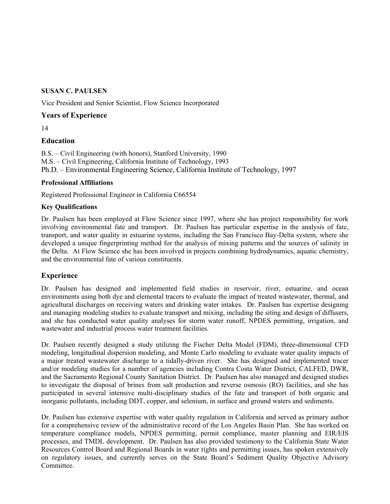### SUSAN C. PAULSEN

Vice President and Senior Scientist, Flow Science Incorporated

### Years of Experience

14

### Education

B.S. – Civil Engineering (with honors), Stanford University, 1990 M.S. – Civil Engineering, California Institute of Technology, 1993 Ph.D. – Environmental Engineering Science, California Institute of Technology, 1997

### Professional Affiliations

Registered Professional Engineer in California C66554

### Key Qualifications

Dr. Paulsen has been employed at Flow Science since 1997, where she has project responsibility for work involving environmental fate and transport. Dr. Paulsen has particular expertise in the analysis of fate, transport, and water quality in estuarine systems, including the San Francisco Bay-Delta system, where she developed a unique fingerprinting method for the analysis of mixing patterns and the sources of salinity in the Delta. At Flow Science she has been involved in projects combining hydrodynamics, aquatic chemistry, and the environmental fate of various constituents.

### Experience

Dr. Paulsen has designed and implemented field studies in reservoir, river, estuarine, and ocean environments using both dye and elemental tracers to evaluate the impact of treated wastewater, thermal, and agricultural discharges on receiving waters and drinking water intakes. Dr. Paulsen has expertise designing and managing modeling studies to evaluate transport and mixing, including the siting and design of diffusers, and she has conducted water quality analyses for storm water runoff, NPDES permitting, irrigation, and wastewater and industrial process water treatment facilities.

Dr. Paulsen recently designed a study utilizing the Fischer Delta Model (FDM), three-dimensional CFD modeling, longitudinal dispersion modeling, and Monte Carlo modeling to evaluate water quality impacts of a major treated wastewater discharge to a tidally-driven river. She has designed and implemented tracer and/or modeling studies for a number of agencies including Contra Costa Water District, CALFED, DWR, and the Sacramento Regional County Sanitation District. Dr. Paulsen has also managed and designed studies to investigate the disposal of brines from salt production and reverse osmosis (RO) facilities, and she has participated in several intensive multi-disciplinary studies of the fate and transport of both organic and inorganic pollutants, including DDT, copper, and selenium, in surface and ground waters and sediments.

Dr. Paulsen has extensive expertise with water quality regulation in California and served as primary author for a comprehensive review of the administrative record of the Los Angeles Basin Plan. She has worked on temperature compliance models, NPDES permitting, permit compliance, master planning and EIR/EIS processes, and TMDL development. Dr. Paulsen has also provided testimony to the California State Water Resources Control Board and Regional Boards in water rights and permitting issues, has spoken extensively on regulatory issues, and currently serves on the State Board's Sediment Quality Objective Advisory Committee.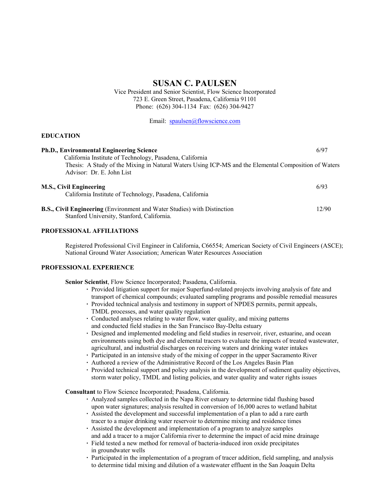### SUSAN C. PAULSEN

Vice President and Senior Scientist, Flow Science Incorporated 723 E. Green Street, Pasadena, California 91101 Phone: (626) 304-1134 Fax: (626) 304-9427

Email: spaulsen@flowscience.com

#### EDUCATION

| <b>Ph.D., Environmental Engineering Science</b>                                                                                                                                               | 6/97  |
|-----------------------------------------------------------------------------------------------------------------------------------------------------------------------------------------------|-------|
| California Institute of Technology, Pasadena, California<br>Thesis: A Study of the Mixing in Natural Waters Using ICP-MS and the Elemental Composition of Waters<br>Advisor: Dr. E. John List |       |
| M.S., Civil Engineering<br>California Institute of Technology, Pasadena, California                                                                                                           | 6/93  |
| <b>B.S., Civil Engineering</b> (Environment and Water Studies) with Distinction<br>Stanford University, Stanford, California.                                                                 | 12/90 |

#### PROFESSIONAL AFFILIATIONS

Registered Professional Civil Engineer in California, C66554; American Society of Civil Engineers (ASCE); National Ground Water Association; American Water Resources Association

#### PROFESSIONAL EXPERIENCE

Senior Scientist, Flow Science Incorporated; Pasadena, California.

- · Provided litigation support for major Superfund-related projects involving analysis of fate and transport of chemical compounds; evaluated sampling programs and possible remedial measures
- · Provided technical analysis and testimony in support of NPDES permits, permit appeals, TMDL processes, and water quality regulation
- · Conducted analyses relating to water flow, water quality, and mixing patterns and conducted field studies in the San Francisco Bay-Delta estuary
- · Designed and implemented modeling and field studies in reservoir, river, estuarine, and ocean environments using both dye and elemental tracers to evaluate the impacts of treated wastewater, agricultural, and industrial discharges on receiving waters and drinking water intakes
- · Participated in an intensive study of the mixing of copper in the upper Sacramento River
- · Authored a review of the Administrative Record of the Los Angeles Basin Plan
- · Provided technical support and policy analysis in the development of sediment quality objectives, storm water policy, TMDL and listing policies, and water quality and water rights issues

Consultant to Flow Science Incorporated; Pasadena, California.

- · Analyzed samples collected in the Napa River estuary to determine tidal flushing based upon water signatures; analysis resulted in conversion of 16,000 acres to wetland habitat
- · Assisted the development and successful implementation of a plan to add a rare earth tracer to a major drinking water reservoir to determine mixing and residence times
- · Assisted the development and implementation of a program to analyze samples and add a tracer to a major California river to determine the impact of acid mine drainage
- Field tested a new method for removal of bacteria-induced iron oxide precipitates in groundwater wells
- Participated in the implementation of a program of tracer addition, field sampling, and analysis to determine tidal mixing and dilution of a wastewater effluent in the San Joaquin Delta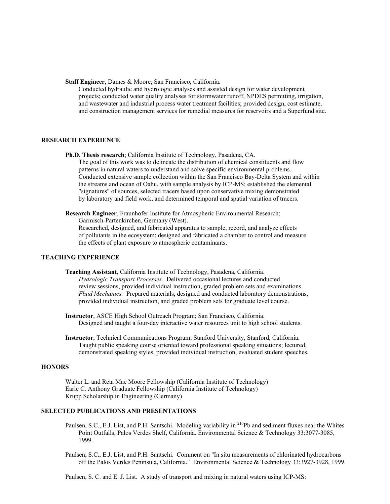#### Staff Engineer, Dames & Moore; San Francisco, California.

 Conducted hydraulic and hydrologic analyses and assisted design for water development projects; conducted water quality analyses for stormwater runoff, NPDES permitting, irrigation, and wastewater and industrial process water treatment facilities; provided design, cost estimate, and construction management services for remedial measures for reservoirs and a Superfund site.

#### RESEARCH EXPERIENCE

Ph.D. Thesis research; California Institute of Technology, Pasadena, CA.

 The goal of this work was to delineate the distribution of chemical constituents and flow patterns in natural waters to understand and solve specific environmental problems. Conducted extensive sample collection within the San Francisco Bay-Delta System and within the streams and ocean of Oahu, with sample analysis by ICP-MS; established the elemental "signatures" of sources, selected tracers based upon conservative mixing demonstrated by laboratory and field work, and determined temporal and spatial variation of tracers.

Research Engineer, Fraunhofer Institute for Atmospheric Environmental Research;

Garmisch-Partenkirchen, Germany (West).

 Researched, designed, and fabricated apparatus to sample, record, and analyze effects of pollutants in the ecosystem; designed and fabricated a chamber to control and measure the effects of plant exposure to atmospheric contaminants.

#### TEACHING EXPERIENCE

Teaching Assistant, California Institute of Technology, Pasadena, California. Hydrologic Transport Processes. Delivered occasional lectures and conducted review sessions, provided individual instruction, graded problem sets and examinations. Fluid Mechanics. Prepared materials, designed and conducted laboratory demonstrations, provided individual instruction, and graded problem sets for graduate level course.

Instructor, ASCE High School Outreach Program; San Francisco, California. Designed and taught a four-day interactive water resources unit to high school students.

Instructor, Technical Communications Program; Stanford University, Stanford, California. Taught public speaking course oriented toward professional speaking situations; lectured, demonstrated speaking styles, provided individual instruction, evaluated student speeches.

### **HONORS**

 Walter L. and Reta Mae Moore Fellowship (California Institute of Technology) Earle C. Anthony Graduate Fellowship (California Institute of Technology) Krupp Scholarship in Engineering (Germany)

### SELECTED PUBLICATIONS AND PRESENTATIONS

- Paulsen, S.C., E.J. List, and P.H. Santschi. Modeling variability in <sup>210</sup>Pb and sediment fluxes near the Whites Point Outfalls, Palos Verdes Shelf, California. Environmental Science & Technology 33:3077-3085, 1999.
- Paulsen, S.C., E.J. List, and P.H. Santschi. Comment on "In situ measurements of chlorinated hydrocarbons off the Palos Verdes Peninsula, California." Environmental Science & Technology 33:3927-3928, 1999.

Paulsen, S. C. and E. J. List. A study of transport and mixing in natural waters using ICP-MS: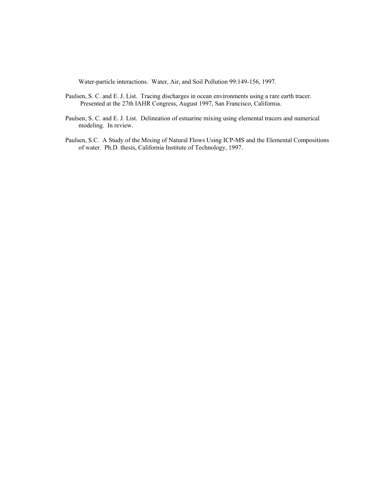Water-particle interactions. Water, Air, and Soil Pollution 99:149-156, 1997.

- Paulsen, S. C. and E. J. List. Tracing discharges in ocean environments using a rare earth tracer. Presented at the 27th IAHR Congress, August 1997, San Francisco, California.
- Paulsen, S. C. and E. J. List. Delineation of estuarine mixing using elemental tracers and numerical modeling. In review.
- Paulsen, S.C. A Study of the Mixing of Natural Flows Using ICP-MS and the Elemental Compositions of water. Ph.D. thesis, California Institute of Technology, 1997.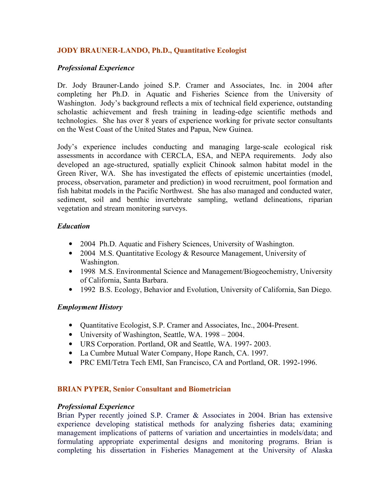# JODY BRAUNER-LANDO, Ph.D., Quantitative Ecologist

## Professional Experience

Dr. Jody Brauner-Lando joined S.P. Cramer and Associates, Inc. in 2004 after completing her Ph.D. in Aquatic and Fisheries Science from the University of Washington. Jody's background reflects a mix of technical field experience, outstanding scholastic achievement and fresh training in leading-edge scientific methods and technologies. She has over 8 years of experience working for private sector consultants on the West Coast of the United States and Papua, New Guinea.

Jody's experience includes conducting and managing large-scale ecological risk assessments in accordance with CERCLA, ESA, and NEPA requirements. Jody also developed an age-structured, spatially explicit Chinook salmon habitat model in the Green River, WA. She has investigated the effects of epistemic uncertainties (model, process, observation, parameter and prediction) in wood recruitment, pool formation and fish habitat models in the Pacific Northwest. She has also managed and conducted water, sediment, soil and benthic invertebrate sampling, wetland delineations, riparian vegetation and stream monitoring surveys.

## Education

- 2004 Ph.D. Aquatic and Fishery Sciences, University of Washington.
- 2004 M.S. Quantitative Ecology & Resource Management, University of Washington.
- 1998 M.S. Environmental Science and Management/Biogeochemistry, University of California, Santa Barbara.
- 1992 B.S. Ecology, Behavior and Evolution, University of California, San Diego.

### Employment History

- Quantitative Ecologist, S.P. Cramer and Associates, Inc., 2004-Present.
- University of Washington, Seattle, WA. 1998 2004.
- URS Corporation. Portland, OR and Seattle, WA. 1997- 2003.
- La Cumbre Mutual Water Company, Hope Ranch, CA. 1997.
- PRC EMI/Tetra Tech EMI, San Francisco, CA and Portland, OR. 1992-1996.

### BRIAN PYPER, Senior Consultant and Biometrician

### Professional Experience

Brian Pyper recently joined S.P. Cramer & Associates in 2004. Brian has extensive experience developing statistical methods for analyzing fisheries data; examining management implications of patterns of variation and uncertainties in models/data; and formulating appropriate experimental designs and monitoring programs. Brian is completing his dissertation in Fisheries Management at the University of Alaska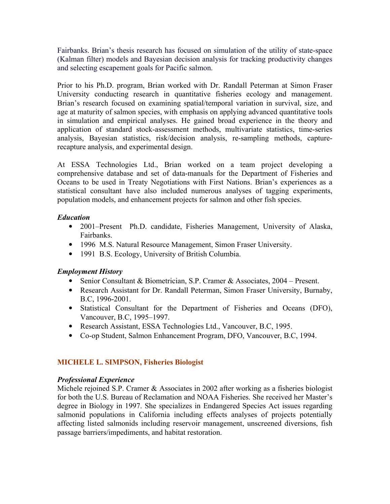Fairbanks. Brian's thesis research has focused on simulation of the utility of state-space (Kalman filter) models and Bayesian decision analysis for tracking productivity changes and selecting escapement goals for Pacific salmon.

Prior to his Ph.D. program, Brian worked with Dr. Randall Peterman at Simon Fraser University conducting research in quantitative fisheries ecology and management. Brian's research focused on examining spatial/temporal variation in survival, size, and age at maturity of salmon species, with emphasis on applying advanced quantitative tools in simulation and empirical analyses. He gained broad experience in the theory and application of standard stock-assessment methods, multivariate statistics, time-series analysis, Bayesian statistics, risk/decision analysis, re-sampling methods, capturerecapture analysis, and experimental design.

At ESSA Technologies Ltd., Brian worked on a team project developing a comprehensive database and set of data-manuals for the Department of Fisheries and Oceans to be used in Treaty Negotiations with First Nations. Brian's experiences as a statistical consultant have also included numerous analyses of tagging experiments, population models, and enhancement projects for salmon and other fish species.

# Education

- 2001–Present Ph.D. candidate, Fisheries Management, University of Alaska, Fairbanks.
- 1996 M.S. Natural Resource Management, Simon Fraser University.
- 1991 B.S. Ecology, University of British Columbia.

# Employment History

- Senior Consultant & Biometrician, S.P. Cramer & Associates, 2004 Present.
- Research Assistant for Dr. Randall Peterman, Simon Fraser University, Burnaby, B.C, 1996-2001.
- Statistical Consultant for the Department of Fisheries and Oceans (DFO), Vancouver, B.C, 1995–1997.
- Research Assistant, ESSA Technologies Ltd., Vancouver, B.C, 1995.
- Co-op Student, Salmon Enhancement Program, DFO, Vancouver, B.C, 1994.

# MICHELE L. SIMPSON, Fisheries Biologist

# Professional Experience

Michele rejoined S.P. Cramer & Associates in 2002 after working as a fisheries biologist for both the U.S. Bureau of Reclamation and NOAA Fisheries. She received her Master's degree in Biology in 1997. She specializes in Endangered Species Act issues regarding salmonid populations in California including effects analyses of projects potentially affecting listed salmonids including reservoir management, unscreened diversions, fish passage barriers/impediments, and habitat restoration.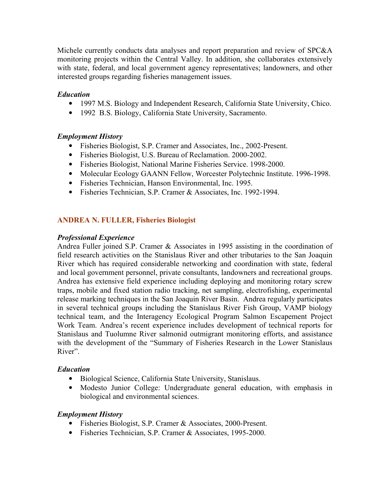Michele currently conducts data analyses and report preparation and review of SPC&A monitoring projects within the Central Valley. In addition, she collaborates extensively with state, federal, and local government agency representatives; landowners, and other interested groups regarding fisheries management issues.

# Education

- 1997 M.S. Biology and Independent Research, California State University, Chico.
- 1992 B.S. Biology, California State University, Sacramento.

# Employment History

- Fisheries Biologist, S.P. Cramer and Associates, Inc., 2002-Present.
- Fisheries Biologist, U.S. Bureau of Reclamation. 2000-2002.
- Fisheries Biologist, National Marine Fisheries Service. 1998-2000.
- Molecular Ecology GAANN Fellow, Worcester Polytechnic Institute. 1996-1998.
- Fisheries Technician, Hanson Environmental, Inc. 1995.
- Fisheries Technician, S.P. Cramer & Associates, Inc. 1992-1994.

# ANDREA N. FULLER, Fisheries Biologist

# Professional Experience

Andrea Fuller joined S.P. Cramer & Associates in 1995 assisting in the coordination of field research activities on the Stanislaus River and other tributaries to the San Joaquin River which has required considerable networking and coordination with state, federal and local government personnel, private consultants, landowners and recreational groups. Andrea has extensive field experience including deploying and monitoring rotary screw traps, mobile and fixed station radio tracking, net sampling, electrofishing, experimental release marking techniques in the San Joaquin River Basin. Andrea regularly participates in several technical groups including the Stanislaus River Fish Group, VAMP biology technical team, and the Interagency Ecological Program Salmon Escapement Project Work Team. Andrea's recent experience includes development of technical reports for Stanislaus and Tuolumne River salmonid outmigrant monitoring efforts, and assistance with the development of the "Summary of Fisheries Research in the Lower Stanislaus River".

# Education

- Biological Science, California State University, Stanislaus.
- Modesto Junior College: Undergraduate general education, with emphasis in biological and environmental sciences.

# Employment History

- Fisheries Biologist, S.P. Cramer & Associates, 2000-Present.
- Fisheries Technician, S.P. Cramer & Associates, 1995-2000.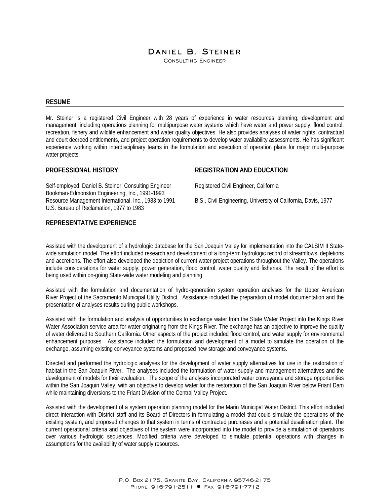# DANIEL B. STEINER

CONSULTING ENGINEER

#### **RESUME**

Mr. Steiner is a registered Civil Engineer with 28 years of experience in water resources planning, development and management, including operations planning for multipurpose water systems which have water and power supply, flood control, recreation, fishery and wildlife enhancement and water quality objectives. He also provides analyses of water rights, contractual and court decreed entitlements, and project operation requirements to develop water availability assessments. He has significant experience working within interdisciplinary teams in the formulation and execution of operation plans for major multi-purpose water projects.

#### **PROFESSIONAL HISTORY**

Self-employed: Daniel B. Steiner, Consulting Engineer Bookman-Edmonston Engineering, Inc., 1991-1993 Resource Management International, Inc., 1983 to 1991 U.S. Bureau of Reclamation, 1977 to 1983

#### **REGISTRATION AND EDUCATION**

Registered Civil Engineer, California

B.S., Civil Engineering, University of California, Davis, 1977

# **REPRESENTATIVE EXPERIENCE**

Assisted with the development of a hydrologic database for the San Joaquin Valley for implementation into the CALSIM II Statewide simulation model. The effort included research and development of a long-term hydrologic record of streamflows, depletions and accretions. The effort also developed the depiction of current water project operations throughout the Valley. The operations include considerations for water supply, power generation, flood control, water quality and fisheries. The result of the effort is being used within on-going State-wide water modeling and planning.

Assisted with the formulation and documentation of hydro-generation system operation analyses for the Upper American River Project of the Sacramento Municipal Utility District. Assistance included the preparation of model documentation and the presentation of analyses results during public workshops.

Assisted with the formulation and analysis of opportunities to exchange water from the State Water Project into the Kings River Water Association service area for water originating from the Kings River. The exchange has an objective to improve the quality of water delivered to Southern California. Other aspects of the project included flood control, and water supply for environmental enhancement purposes. Assistance included the formulation and development of a model to simulate the operation of the exchange, assuming existing conveyance systems and proposed new storage and conveyance systems.

Directed and performed the hydrologic analyses for the development of water supply alternatives for use in the restoration of habitat in the San Joaquin River. The analyses included the formulation of water supply and management alternatives and the development of models for their evaluation. The scope of the analyses incorporated water conveyance and storage opportunities within the San Joaquin Valley, with an objective to develop water for the restoration of the San Joaquin River below Friant Dam while maintaining diversions to the Friant Division of the Central Valley Project.

Assisted with the development of a system operation planning model for the Marin Municipal Water District. This effort included direct interaction with District staff and its Board of Directors in formulating a model that could simulate the operations of the existing system, and proposed changes to that system in terms of contracted purchases and a potential desalination plant. The current operational criteria and objectives of the system were incorporated into the model to provide a simulation of operations over various hydrologic sequences. Modified criteria were developed to simulate potential operations with changes in assumptions for the availability of water supply resources.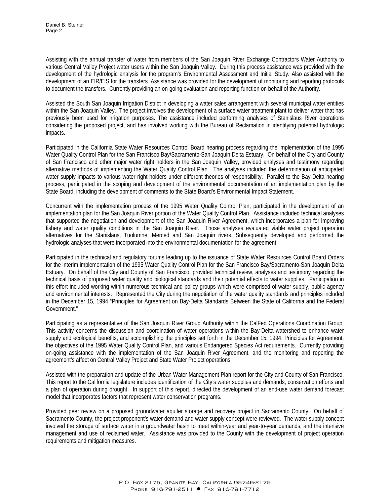Assisting with the annual transfer of water from members of the San Joaquin River Exchange Contractors Water Authority to various Central Valley Project water users within the San Joaquin Valley. During this process assistance was provided with the development of the hydrologic analysis for the program's Environmental Assessment and Initial Study. Also assisted with the development of an EIR/EIS for the transfers. Assistance was provided for the development of monitoring and reporting protocols to document the transfers. Currently providing an on-going evaluation and reporting function on behalf of the Authority.

Assisted the South San Joaquin Irrigation District in developing a water sales arrangement with several municipal water entities within the San Joaquin Valley. The project involves the development of a surface water treatment plant to deliver water that has previously been used for irrigation purposes. The assistance included performing analyses of Stanislaus River operations considering the proposed project, and has involved working with the Bureau of Reclamation in identifying potential hydrologic impacts.

Participated in the California State Water Resources Control Board hearing process regarding the implementation of the 1995 Water Quality Control Plan for the San Francisco Bay/Sacramento-San Joaquin Delta Estuary. On behalf of the City and County of San Francisco and other major water right holders in the San Joaquin Valley, provided analyses and testimony regarding alternative methods of implementing the Water Quality Control Plan. The analyses included the determination of anticipated water supply impacts to various water right holders under different theories of responsibility. Parallel to the Bay-Delta hearing process, participated in the scoping and development of the environmental documentation of an implementation plan by the State Board, including the development of comments to the State Board's Environmental Impact Statement.

Concurrent with the implementation process of the 1995 Water Quality Control Plan, participated in the development of an implementation plan for the San Joaquin River portion of the Water Quality Control Plan. Assistance included technical analyses that supported the negotiation and development of the San Joaquin River Agreement, which incorporates a plan for improving fishery and water quality conditions in the San Joaquin River. Those analyses evaluated viable water project operation alternatives for the Stanislaus, Tuolumne, Merced and San Joaquin rivers. Subsequently developed and performed the hydrologic analyses that were incorporated into the environmental documentation for the agreement.

Participated in the technical and regulatory forums leading up to the issuance of State Water Resources Control Board Orders for the interim implementation of the 1995 Water Quality Control Plan for the San Francisco Bay/Sacramento-San Joaquin Delta Estuary. On behalf of the City and County of San Francisco, provided technical review, analyses and testimony regarding the technical basis of proposed water quality and biological standards and their potential effects to water supplies. Participation in this effort included working within numerous technical and policy groups which were comprised of water supply, public agency and environmental interests. Represented the City during the negotiation of the water quality standards and principles included in the December 15, 1994 "Principles for Agreement on Bay-Delta Standards Between the State of California and the Federal Government."

Participating as a representative of the San Joaquin River Group Authority within the CalFed Operations Coordination Group. This activity concerns the discussion and coordination of water operations within the Bay-Delta watershed to enhance water supply and ecological benefits, and accomplishing the principles set forth in the December 15, 1994, Principles for Agreement, the objectives of the 1995 Water Quality Control Plan, and various Endangered Species Act requirements. Currently providing on-going assistance with the implementation of the San Joaquin River Agreement, and the monitoring and reporting the agreement's affect on Central Valley Project and State Water Project operations.

Assisted with the preparation and update of the Urban Water Management Plan report for the City and County of San Francisco. This report to the California legislature includes identification of the City's water supplies and demands, conservation efforts and a plan of operation during drought. In support of this report, directed the development of an end-use water demand forecast model that incorporates factors that represent water conservation programs.

Provided peer review on a proposed groundwater aquifer storage and recovery project in Sacramento County. On behalf of Sacramento County, the project proponent's water demand and water supply concept were reviewed. The water supply concept involved the storage of surface water in a groundwater basin to meet within-year and year-to-year demands, and the intensive management and use of reclaimed water. Assistance was provided to the County with the development of project operation requirements and mitigation measures.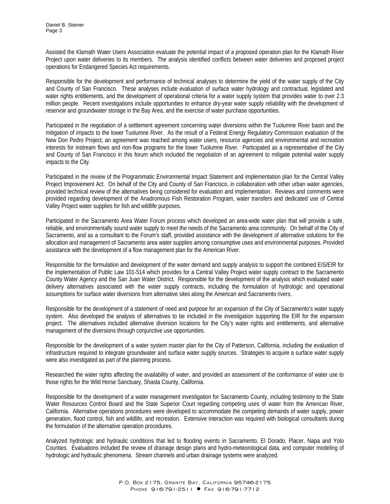Assisted the Klamath Water Users Association evaluate the potential impact of a proposed operation plan for the Klamath River Project upon water deliveries to its members. The analysis identified conflicts between water deliveries and proposed project operations for Endangered Species Act requirements.

Responsible for the development and performance of technical analyses to determine the yield of the water supply of the City and County of San Francisco. These analyses include evaluation of surface water hydrology and contractual, legislated and water rights entitlements, and the development of operational criteria for a water supply system that provides water to over 2.3 million people. Recent investigations include opportunities to enhance dry-year water supply reliability with the development of reservoir and groundwater storage in the Bay Area, and the exercise of water purchase opportunities.

Participated in the negotiation of a settlement agreement concerning water diversions within the Tuolumne River basin and the mitigation of impacts to the lower Tuolumne River. As the result of a Federal Energy Regulatory Commission evaluation of the New Don Pedro Project, an agreement was reached among water users, resource agencies and environmental and recreation interests for instream flows and non-flow programs for the lower Tuolumne River. Participated as a representative of the City and County of San Francisco in this forum which included the negotiation of an agreement to mitigate potential water supply impacts to the City.

Participated in the review of the Programmatic Environmental Impact Statement and implementation plan for the Central Valley Project Improvement Act. On behalf of the City and County of San Francisco, in collaboration with other urban water agencies, provided technical review of the alternatives being considered for evaluation and implementation. Reviews and comments were provided regarding development of the Anadromous Fish Restoration Program, water transfers and dedicated use of Central Valley Project water supplies for fish and wildlife purposes.

Participated in the Sacramento Area Water Forum process which developed an area-wide water plan that will provide a safe, reliable, and environmentally sound water supply to meet the needs of the Sacramento area community. On behalf of the City of Sacramento, and as a consultant to the Forum's staff, provided assistance with the development of alternative solutions for the allocation and management of Sacramento area water supplies among consumptive uses and environmental purposes. Provided assistance with the development of a flow management plan for the American River.

Responsible for the formulation and development of the water demand and supply analysis to support the combined EIS/EIR for the implementation of Public Law 101-514 which provides for a Central Valley Project water supply contract to the Sacramento County Water Agency and the San Juan Water District. Responsible for the development of the analysis which evaluated water delivery alternatives associated with the water supply contracts, including the formulation of hydrologic and operational assumptions for surface water diversions from alternative sites along the American and Sacramento rivers.

Responsible for the development of a statement of need and purpose for an expansion of the City of Sacramento's water supply system. Also developed the analysis of alternatives to be included in the investigation supporting the EIR for the expansion project. The alternatives included alternative diversion locations for the City's water rights and entitlements, and alternative management of the diversions through conjunctive use opportunities.

Responsible for the development of a water system master plan for the City of Patterson, California, including the evaluation of infrastructure required to integrate groundwater and surface water supply sources. Strategies to acquire a surface water supply were also investigated as part of the planning process.

Researched the water rights affecting the availability of water, and provided an assessment of the conformance of water use to those rights for the Wild Horse Sanctuary, Shasta County, California.

Responsible for the development of a water management investigation for Sacramento County, including testimony to the State Water Resources Control Board and the State Superior Court regarding competing uses of water from the American River, California. Alternative operations procedures were developed to accommodate the competing demands of water supply, power generation, flood control, fish and wildlife, and recreation. Extensive interaction was required with biological consultants during the formulation of the alternative operation procedures.

Analyzed hydrologic and hydraulic conditions that led to flooding events in Sacramento, El Dorado, Placer, Napa and Yolo Counties. Evaluations included the review of drainage design plans and hydro-meteorological data, and computer modeling of hydrologic and hydraulic phenomena. Stream channels and urban drainage systems were analyzed.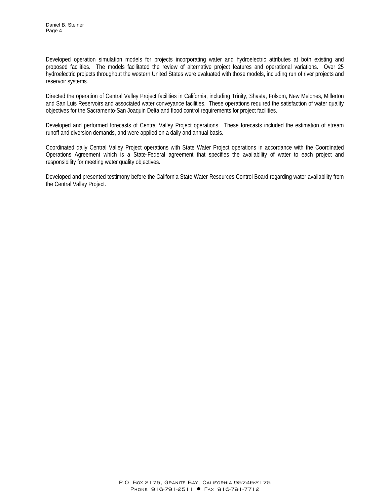Developed operation simulation models for projects incorporating water and hydroelectric attributes at both existing and proposed facilities. The models facilitated the review of alternative project features and operational variations. Over 25 hydroelectric projects throughout the western United States were evaluated with those models, including run of river projects and reservoir systems.

Directed the operation of Central Valley Project facilities in California, including Trinity, Shasta, Folsom, New Melones, Millerton and San Luis Reservoirs and associated water conveyance facilities. These operations required the satisfaction of water quality objectives for the Sacramento-San Joaquin Delta and flood control requirements for project facilities.

Developed and performed forecasts of Central Valley Project operations. These forecasts included the estimation of stream runoff and diversion demands, and were applied on a daily and annual basis.

Coordinated daily Central Valley Project operations with State Water Project operations in accordance with the Coordinated Operations Agreement which is a State-Federal agreement that specifies the availability of water to each project and responsibility for meeting water quality objectives.

Developed and presented testimony before the California State Water Resources Control Board regarding water availability from the Central Valley Project.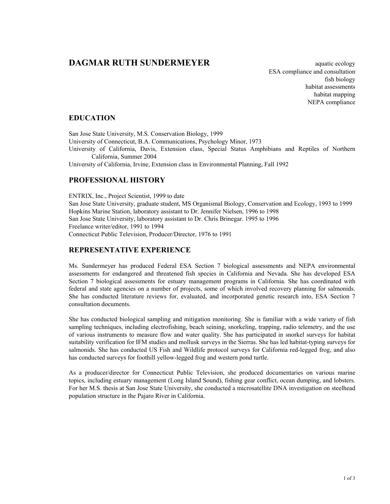# **DAGMAR RUTH SUNDERMEYER** aquatic ecology

ESA compliance and consultation fish biology habitat assessments habitat mapping NEPA compliance

### EDUCATION

San Jose State University, M.S. Conservation Biology, 1999 University of Connecticut, B.A. Communications, Psychology Minor, 1973 University of California, Davis, Extension class, Special Status Amphibians and Reptiles of Northern California, Summer 2004

University of California, Irvine, Extension class in Environmental Planning, Fall 1992

### PROFESSIONAL HISTORY

ENTRIX, Inc., Project Scientist, 1999 to date San Jose State University, graduate student, MS Organismal Biology, Conservation and Ecology, 1993 to 1999 Hopkins Marine Station, laboratory assistant to Dr. Jennifer Nielsen, 1996 to 1998 San Jose State University, laboratory assistant to Dr. Chris Brinegar. 1995 to 1996 Freelance writer/editor, 1991 to 1994 Connecticut Public Television, Producer/Director, 1976 to 1991

### REPRESENTATIVE EXPERIENCE

Ms. Sundermeyer has produced Federal ESA Section 7 biological assessments and NEPA environmental assessments for endangered and threatened fish species in California and Nevada. She has developed ESA Section 7 biological assessments for estuary management programs in California. She has coordinated with federal and state agencies on a number of projects, some of which involved recovery planning for salmonids. She has conducted literature reviews for, evaluated, and incorporated genetic research into, ESA Section 7 consultation documents.

She has conducted biological sampling and mitigation monitoring. She is familiar with a wide variety of fish sampling techniques, including electrofishing, beach seining, snorkeling, trapping, radio telemetry, and the use of various instruments to measure flow and water quality. She has participated in snorkel surveys for habitat suitability verification for IFM studies and mollusk surveys in the Sierras. She has led habitat-typing surveys for salmonids. She has conducted US Fish and Wildlife protocol surveys for California red-legged frog, and also has conducted surveys for foothill yellow-legged frog and western pond turtle.

As a producer/director for Connecticut Public Television, she produced documentaries on various marine topics, including estuary management (Long Island Sound), fishing gear conflict, ocean dumping, and lobsters. For her M.S. thesis at San Jose State University, she conducted a microsatellite DNA investigation on steelhead population structure in the Pajaro River in California.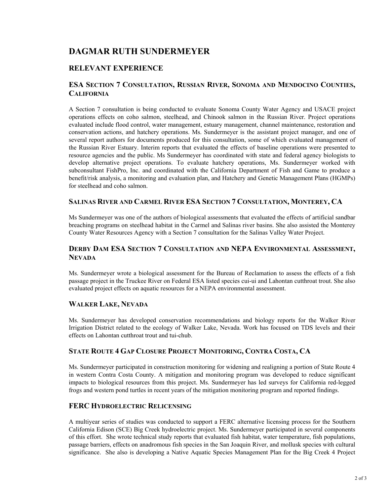# DAGMAR RUTH SUNDERMEYER

## RELEVANT EXPERIENCE

### ESA SECTION 7 CONSULTATION, RUSSIAN RIVER, SONOMA AND MENDOCINO COUNTIES, **CALIFORNIA**

A Section 7 consultation is being conducted to evaluate Sonoma County Water Agency and USACE project operations effects on coho salmon, steelhead, and Chinook salmon in the Russian River. Project operations evaluated include flood control, water management, estuary management, channel maintenance, restoration and conservation actions, and hatchery operations. Ms. Sundermeyer is the assistant project manager, and one of several report authors for documents produced for this consultation, some of which evaluated management of the Russian River Estuary. Interim reports that evaluated the effects of baseline operations were presented to resource agencies and the public. Ms Sundermeyer has coordinated with state and federal agency biologists to develop alternative project operations. To evaluate hatchery operations, Ms. Sundermeyer worked with subconsultant FishPro, Inc. and coordinated with the California Department of Fish and Game to produce a benefit/risk analysis, a monitoring and evaluation plan, and Hatchery and Genetic Management Plans (HGMPs) for steelhead and coho salmon.

### SALINAS RIVER AND CARMEL RIVER ESA SECTION 7 CONSULTATION, MONTEREY, CA

Ms Sundermeyer was one of the authors of biological assessments that evaluated the effects of artificial sandbar breaching programs on steelhead habitat in the Carmel and Salinas river basins. She also assisted the Monterey County Water Resources Agency with a Section 7 consultation for the Salinas Valley Water Project.

## DERBY DAM ESA SECTION 7 CONSULTATION AND NEPA ENVIRONMENTAL ASSESSMENT, **NEVADA**

Ms. Sundermeyer wrote a biological assessment for the Bureau of Reclamation to assess the effects of a fish passage project in the Truckee River on Federal ESA listed species cui-ui and Lahontan cutthroat trout. She also evaluated project effects on aquatic resources for a NEPA environmental assessment.

### WALKER LAKE, NEVADA

Ms. Sundermeyer has developed conservation recommendations and biology reports for the Walker River Irrigation District related to the ecology of Walker Lake, Nevada. Work has focused on TDS levels and their effects on Lahontan cutthroat trout and tui-chub.

### STATE ROUTE 4 GAP CLOSURE PROJECT MONITORING, CONTRA COSTA, CA

Ms. Sundermeyer participated in construction monitoring for widening and realigning a portion of State Route 4 in western Contra Costa County. A mitigation and monitoring program was developed to reduce significant impacts to biological resources from this project. Ms. Sundermeyer has led surveys for California red-legged frogs and western pond turtles in recent years of the mitigation monitoring program and reported findings.

### FERC HYDROELECTRIC RELICENSING

A multiyear series of studies was conducted to support a FERC alternative licensing process for the Southern California Edison (SCE) Big Creek hydroelectric project. Ms. Sundermeyer participated in several components of this effort. She wrote technical study reports that evaluated fish habitat, water temperature, fish populations, passage barriers, effects on anadromous fish species in the San Joaquin River, and mollusk species with cultural significance. She also is developing a Native Aquatic Species Management Plan for the Big Creek 4 Project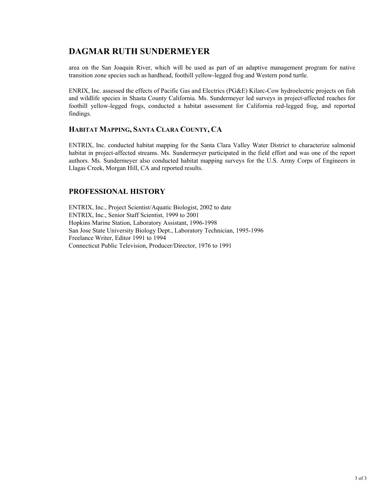# DAGMAR RUTH SUNDERMEYER

area on the San Joaquin River, which will be used as part of an adaptive management program for native transition zone species such as hardhead, foothill yellow-legged frog and Western pond turtle.

ENRIX, Inc. assessed the effects of Pacific Gas and Electrics (PG&E) Kilarc-Cow hydroelectric projects on fish and wildlife species in Shasta County California. Ms. Sundermeyer led surveys in project-affected reaches for foothill yellow-legged frogs, conducted a habitat assessment for California red-legged frog, and reported findings.

### HABITAT MAPPING, SANTA CLARA COUNTY, CA

ENTRIX, Inc. conducted habitat mapping for the Santa Clara Valley Water District to characterize salmonid habitat in project-affected streams. Ms. Sundermeyer participated in the field effort and was one of the report authors. Ms. Sundermeyer also conducted habitat mapping surveys for the U.S. Army Corps of Engineers in Llagas Creek, Morgan Hill, CA and reported results.

### PROFESSIONAL HISTORY

ENTRIX, Inc., Project Scientist/Aquatic Biologist, 2002 to date ENTRIX, Inc., Senior Staff Scientist, 1999 to 2001 Hopkins Marine Station, Laboratory Assistant, 1996-1998 San Jose State University Biology Dept., Laboratory Technician, 1995-1996 Freelance Writer, Editor 1991 to 1994 Connecticut Public Television, Producer/Director, 1976 to 1991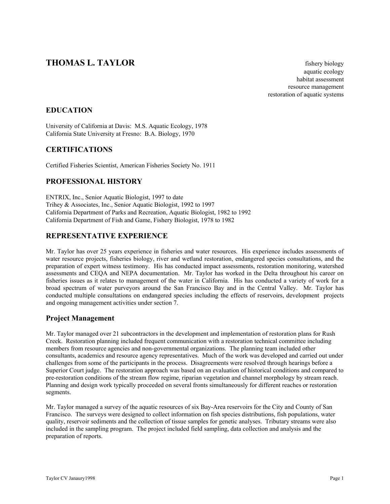# **THOMAS L. TAYLOR** fishery biology

 aquatic ecology habitat assessment resource management restoration of aquatic systems

## EDUCATION

University of California at Davis: M.S. Aquatic Ecology, 1978 California State University at Fresno: B.A. Biology, 1970

### **CERTIFICATIONS**

Certified Fisheries Scientist, American Fisheries Society No. 1911

### PROFESSIONAL HISTORY

ENTRIX, Inc., Senior Aquatic Biologist, 1997 to date Trihey & Associates, Inc., Senior Aquatic Biologist, 1992 to 1997 California Department of Parks and Recreation, Aquatic Biologist, 1982 to 1992 California Department of Fish and Game, Fishery Biologist, 1978 to 1982

### REPRESENTATIVE EXPERIENCE

Mr. Taylor has over 25 years experience in fisheries and water resources. His experience includes assessments of water resource projects, fisheries biology, river and wetland restoration, endangered species consultations, and the preparation of expert witness testimony. His has conducted impact assessments, restoration monitoring, watershed assessments and CEQA and NEPA documentation. Mr. Taylor has worked in the Delta throughout his career on fisheries issues as it relates to management of the water in California. His has conducted a variety of work for a broad spectrum of water purveyors around the San Francisco Bay and in the Central Valley. Mr. Taylor has conducted multiple consultations on endangered species including the effects of reservoirs, development projects and ongoing management activities under section 7.

### Project Management

Mr. Taylor managed over 21 subcontractors in the development and implementation of restoration plans for Rush Creek. Restoration planning included frequent communication with a restoration technical committee including members from resource agencies and non-governmental organizations. The planning team included other consultants, academics and resource agency representatives. Much of the work was developed and carried out under challenges from some of the participants in the process. Disagreements were resolved through hearings before a Superior Court judge. The restoration approach was based on an evaluation of historical conditions and compared to pre-restoration conditions of the stream flow regime, riparian vegetation and channel morphology by stream reach. Planning and design work typically proceeded on several fronts simultaneously for different reaches or restoration segments.

Mr. Taylor managed a survey of the aquatic resources of six Bay-Area reservoirs for the City and County of San Francisco. The surveys were designed to collect information on fish species distributions, fish populations, water quality, reservoir sediments and the collection of tissue samples for genetic analyses. Tributary streams were also included in the sampling program. The project included field sampling, data collection and analysis and the preparation of reports.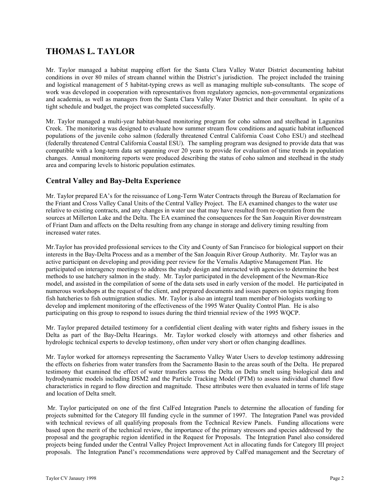# THOMAS L. TAYLOR

Mr. Taylor managed a habitat mapping effort for the Santa Clara Valley Water District documenting habitat conditions in over 80 miles of stream channel within the District's jurisdiction. The project included the training and logistical management of 5 habitat-typing crews as well as managing multiple sub-consultants. The scope of work was developed in cooperation with representatives from regulatory agencies, non-governmental organizations and academia, as well as managers from the Santa Clara Valley Water District and their consultant. In spite of a tight schedule and budget, the project was completed successfully.

Mr. Taylor managed a multi-year habitat-based monitoring program for coho salmon and steelhead in Lagunitas Creek. The monitoring was designed to evaluate how summer stream flow conditions and aquatic habitat influenced populations of the juvenile coho salmon (federally threatened Central California Coast Coho ESU) and steelhead (federally threatened Central California Coastal ESU). The sampling program was designed to provide data that was compatible with a long-term data set spanning over 20 years to provide for evaluation of time trends in population changes. Annual monitoring reports were produced describing the status of coho salmon and steelhead in the study area and comparing levels to historic population estimates.

### Central Valley and Bay-Delta Experience

Mr. Taylor prepared EA's for the reissuance of Long-Term Water Contracts through the Bureau of Reclamation for the Friant and Cross Valley Canal Units of the Central Valley Project. The EA examined changes to the water use relative to existing contracts, and any changes in water use that may have resulted from re-operation from the sources at Millerton Lake and the Delta. The EA examined the consequences for the San Joaquin River downstream of Friant Dam and affects on the Delta resulting from any change in storage and delivery timing resulting from increased water rates.

Mr.Taylor has provided professional services to the City and County of San Francisco for biological support on their interests in the Bay-Delta Process and as a member of the San Joaquin River Group Authority. Mr. Taylor was an active participant on developing and providing peer review for the Vernalis Adaptive Management Plan. He participated on interagency meetings to address the study design and interacted with agencies to determine the best methods to use hatchery salmon in the study. Mr. Taylor participated in the development of the Newman-Rice model, and assisted in the compilation of some of the data sets used in early version of the model. He participated in numerous workshops at the request of the client, and prepared documents and issues papers on topics ranging from fish hatcheries to fish outmigration studies. Mr. Taylor is also an integral team member of biologists working to develop and implement monitoring of the effectiveness of the 1995 Water Quality Control Plan. He is also participating on this group to respond to issues during the third triennial review of the 1995 WQCP.

Mr. Taylor prepared detailed testimony for a confidential client dealing with water rights and fishery issues in the Delta as part of the Bay-Delta Hearings. Mr. Taylor worked closely with attorneys and other fisheries and hydrologic technical experts to develop testimony, often under very short or often changing deadlines.

Mr. Taylor worked for attorneys representing the Sacramento Valley Water Users to develop testimony addressing the effects on fisheries from water transfers from the Sacramento Basin to the areas south of the Delta. He prepared testimony that examined the effect of water transfers across the Delta on Delta smelt using biological data and hydrodynamic models including DSM2 and the Particle Tracking Model (PTM) to assess individual channel flow characteristics in regard to flow direction and magnitude. These attributes were then evaluated in terms of life stage and location of Delta smelt.

 Mr. Taylor participated on one of the first CalFed Integration Panels to determine the allocation of funding for projects submitted for the Category III funding cycle in the summer of 1997. The Integration Panel was provided with technical reviews of all qualifying proposals from the Technical Review Panels. Funding allocations were based upon the merit of the technical review, the importance of the primary stressors and species addressed by the proposal and the geographic region identified in the Request for Proposals. The Integration Panel also considered projects being funded under the Central Valley Project Improvement Act in allocating funds for Category III project proposals. The Integration Panel's recommendations were approved by CalFed management and the Secretary of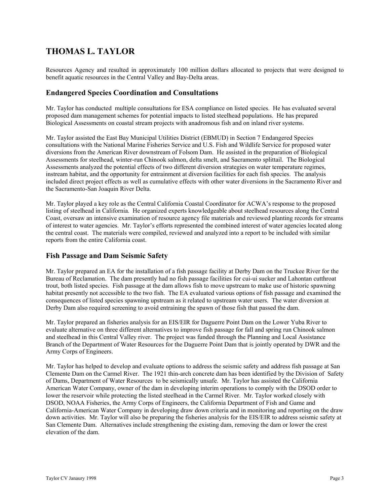# THOMAS L. TAYLOR

Resources Agency and resulted in approximately 100 million dollars allocated to projects that were designed to benefit aquatic resources in the Central Valley and Bay-Delta areas.

### Endangered Species Coordination and Consultations

Mr. Taylor has conducted multiple consultations for ESA compliance on listed species. He has evaluated several proposed dam management schemes for potential impacts to listed steelhead populations. He has prepared Biological Assessments on coastal stream projects with anadromous fish and on inland river systems.

Mr. Taylor assisted the East Bay Municipal Utilities District (EBMUD) in Section 7 Endangered Species consultations with the National Marine Fisheries Service and U.S. Fish and Wildlife Service for proposed water diversions from the American River downstream of Folsom Dam. He assisted in the preparation of Biological Assessments for steelhead, winter-run Chinook salmon, delta smelt, and Sacramento splittail. The Biological Assessments analyzed the potential effects of two different diversion strategies on water temperature regimes, instream habitat, and the opportunity for entrainment at diversion facilities for each fish species. The analysis included direct project effects as well as cumulative effects with other water diversions in the Sacramento River and the Sacramento-San Joaquin River Delta.

Mr. Taylor played a key role as the Central California Coastal Coordinator for ACWA's response to the proposed listing of steelhead in California. He organized experts knowledgeable about steelhead resources along the Central Coast, oversaw an intensive examination of resource agency file materials and reviewed planting records for streams of interest to water agencies. Mr. Taylor's efforts represented the combined interest of water agencies located along the central coast. The materials were compiled, reviewed and analyzed into a report to be included with similar reports from the entire California coast.

### Fish Passage and Dam Seismic Safety

Mr. Taylor prepared an EA for the installation of a fish passage facility at Derby Dam on the Truckee River for the Bureau of Reclamation. The dam presently had no fish passage facilities for cui-ui sucker and Lahontan cutthroat trout, both listed species. Fish passage at the dam allows fish to move upstream to make use of historic spawning habitat presently not accessible to the two fish. The EA evaluated various options of fish passage and examined the consequences of listed species spawning upstream as it related to upstream water users. The water diversion at Derby Dam also required screening to avoid entraining the spawn of those fish that passed the dam.

Mr. Taylor prepared an fisheries analysis for an EIS/EIR for Daguerre Point Dam on the Lower Yuba River to evaluate alternative on three different alternatives to improve fish passage for fall and spring run Chinook salmon and steelhead in this Central Valley river. The project was funded through the Planning and Local Assistance Branch of the Department of Water Resources for the Daguerre Point Dam that is jointly operated by DWR and the Army Corps of Engineers.

Mr. Taylor has helped to develop and evaluate options to address the seismic safety and address fish passage at San Clemente Dam on the Carmel River. The 1921 thin-arch concrete dam has been identified by the Division of Safety of Dams, Department of Water Resources to be seismically unsafe. Mr. Taylor has assisted the California American Water Company, owner of the dam in developing interim operations to comply with the DSOD order to lower the reservoir while protecting the listed steelhead in the Carmel River. Mr. Taylor worked closely with DSOD, NOAA Fisheries, the Army Corps of Engineers, the California Department of Fish and Game and California-American Water Company in developing draw down criteria and in monitoring and reporting on the draw down activities. Mr. Taylor will also be preparing the fisheries analysis for the EIS/EIR to address seismic safety at San Clemente Dam. Alternatives include strengthening the existing dam, removing the dam or lower the crest elevation of the dam.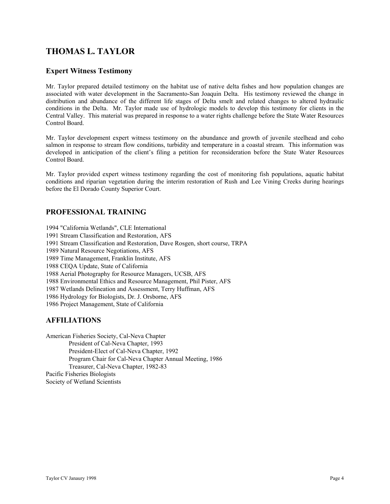# THOMAS L. TAYLOR

### Expert Witness Testimony

Mr. Taylor prepared detailed testimony on the habitat use of native delta fishes and how population changes are associated with water development in the Sacramento-San Joaquin Delta. His testimony reviewed the change in distribution and abundance of the different life stages of Delta smelt and related changes to altered hydraulic conditions in the Delta. Mr. Taylor made use of hydrologic models to develop this testimony for clients in the Central Valley. This material was prepared in response to a water rights challenge before the State Water Resources Control Board.

Mr. Taylor development expert witness testimony on the abundance and growth of juvenile steelhead and coho salmon in response to stream flow conditions, turbidity and temperature in a coastal stream. This information was developed in anticipation of the client's filing a petition for reconsideration before the State Water Resources Control Board.

Mr. Taylor provided expert witness testimony regarding the cost of monitoring fish populations, aquatic habitat conditions and riparian vegetation during the interim restoration of Rush and Lee Vining Creeks during hearings before the El Dorado County Superior Court.

## PROFESSIONAL TRAINING

1994 "California Wetlands", CLE International 1991 Stream Classification and Restoration, AFS 1991 Stream Classification and Restoration, Dave Rosgen, short course, TRPA 1989 Natural Resource Negotiations, AFS 1989 Time Management, Franklin Institute, AFS 1988 CEQA Update, State of California 1988 Aerial Photography for Resource Managers, UCSB, AFS 1988 Environmental Ethics and Resource Management, Phil Pister, AFS 1987 Wetlands Delineation and Assessment, Terry Huffman, AFS 1986 Hydrology for Biologists, Dr. J. Orsborne, AFS 1986 Project Management, State of California

### AFFILIATIONS

American Fisheries Society, Cal-Neva Chapter President of Cal-Neva Chapter, 1993 President-Elect of Cal-Neva Chapter, 1992 Program Chair for Cal-Neva Chapter Annual Meeting, 1986 Treasurer, Cal-Neva Chapter, 1982-83 Pacific Fisheries Biologists Society of Wetland Scientists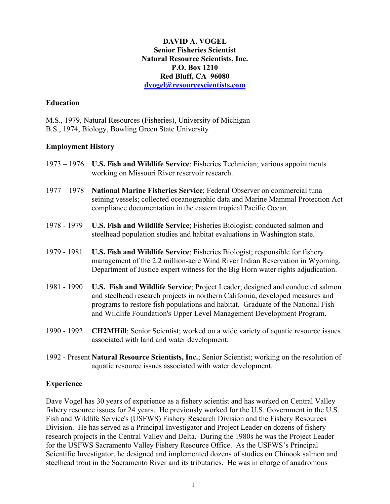## DAVID A. VOGEL Senior Fisheries Scientist Natural Resource Scientists, Inc. P.O. Box 1210 Red Bluff, CA 96080 dvogel@resourcescientists.com

## **Education**

M.S., 1979, Natural Resources (Fisheries), University of Michigan B.S., 1974, Biology, Bowling Green State University

## Employment History

- 1973 1976 U.S. Fish and Wildlife Service: Fisheries Technician; various appointments working on Missouri River reservoir research.
- 1977 1978 National Marine Fisheries Service; Federal Observer on commercial tuna seining vessels; collected oceanographic data and Marine Mammal Protection Act compliance documentation in the eastern tropical Pacific Ocean.
- 1978 1979 U.S. Fish and Wildlife Service; Fisheries Biologist; conducted salmon and steelhead population studies and habitat evaluations in Washington state.
- 1979 1981 U.S. Fish and Wildlife Service; Fisheries Biologist; responsible for fishery management of the 2.2 million-acre Wind River Indian Reservation in Wyoming. Department of Justice expert witness for the Big Horn water rights adjudication.
- 1981 1990 U.S. Fish and Wildlife Service; Project Leader; designed and conducted salmon and steelhead research projects in northern California, developed measures and programs to restore fish populations and habitat. Graduate of the National Fish and Wildlife Foundation's Upper Level Management Development Program.
- 1990 1992 CH2MHill; Senior Scientist; worked on a wide variety of aquatic resource issues associated with land and water development.
- 1992 Present Natural Resource Scientists, Inc.; Senior Scientist; working on the resolution of aquatic resource issues associated with water development.

### Experience

Dave Vogel has 30 years of experience as a fishery scientist and has worked on Central Valley fishery resource issues for 24 years. He previously worked for the U.S. Government in the U.S. Fish and Wildlife Service's (USFWS) Fishery Research Division and the Fishery Resources Division. He has served as a Principal Investigator and Project Leader on dozens of fishery research projects in the Central Valley and Delta. During the 1980s he was the Project Leader for the USFWS Sacramento Valley Fishery Resource Office. As the USFWS's Principal Scientific Investigator, he designed and implemented dozens of studies on Chinook salmon and steelhead trout in the Sacramento River and its tributaries. He was in charge of anadromous